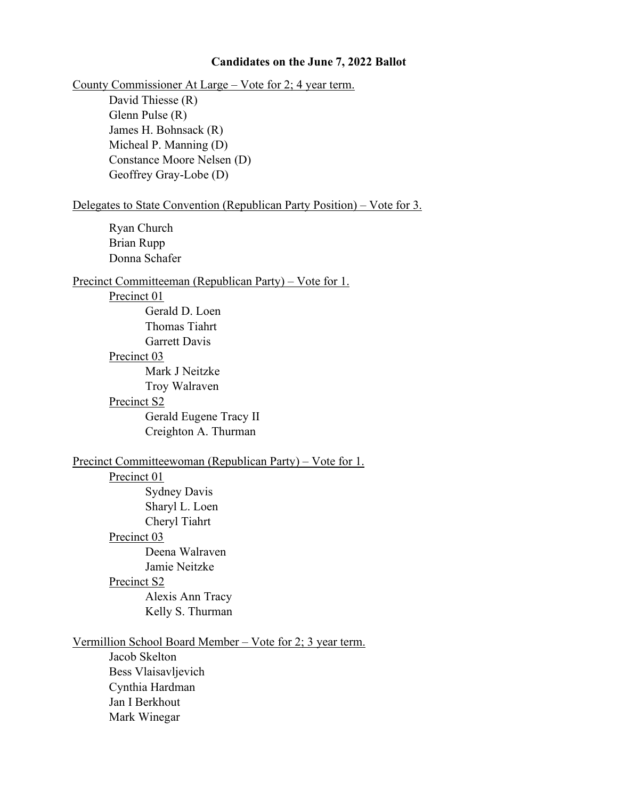### **Candidates on the June 7, 2022 Ballot**

County Commissioner At Large – Vote for 2; 4 year term.

David Thiesse (R) Glenn Pulse (R) James H. Bohnsack (R) Micheal P. Manning (D) Constance Moore Nelsen (D) Geoffrey Gray-Lobe (D)

#### Delegates to State Convention (Republican Party Position) – Vote for 3.

Ryan Church Brian Rupp Donna Schafer

### Precinct Committeeman (Republican Party) – Vote for 1.

## Precinct 01

Gerald D. Loen Thomas Tiahrt Garrett Davis

## Precinct 03

Mark J Neitzke Troy Walraven

#### Precinct S2

Gerald Eugene Tracy II Creighton A. Thurman

# Precinct Committeewoman (Republican Party) – Vote for 1.

# Precinct 01

Sydney Davis Sharyl L. Loen Cheryl Tiahrt Precinct 03 Deena Walraven Jamie Neitzke Precinct S2

Alexis Ann Tracy Kelly S. Thurman

# Vermillion School Board Member – Vote for 2; 3 year term.

Jacob Skelton Bess Vlaisavljevich Cynthia Hardman Jan I Berkhout Mark Winegar